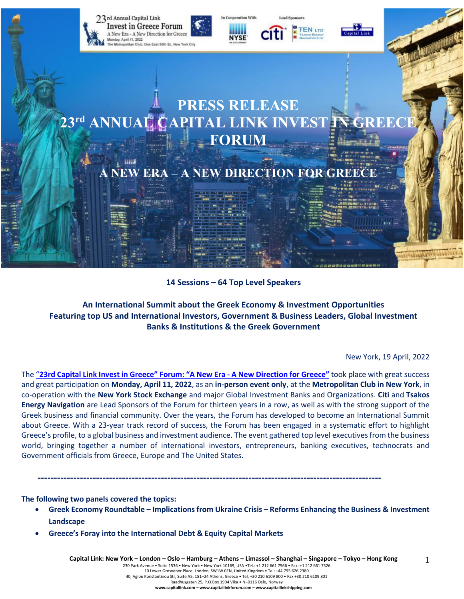

**14 Sessions – 64 Top Level Speakers**

# **An International Summit about the Greek Economy & Investment Opportunities Featuring top US and International Investors, Government & Business Leaders, Global Investment Banks & Institutions & the Greek Government**

New York, 19 April, 2022

1

The "23rd Capital Link Invest in Greece" Forum: "A New Era - A New [Direction](https://forums.capitallink.com/greece/2021/) for Greece" took place with great success and great participation on **Monday, April 11, 2022**, as an **in-person event only**, at the **Metropolitan Club in New York**, in co-operation with the **New York Stock Exchange** and major Global Investment Banks and Organizations. **Citi** and **Tsakos Energy Navigation** are Lead Sponsors of the Forum for thirteen years in a row, as well as with the strong support of the Greek business and financial community. Over the years, the Forum has developed to become an International Summit about Greece. With a 23-year track record of success, the Forum has been engaged in a systematic effort to highlight Greece's profile, to a global business and investment audience. The event gathered top level executives from the business world, bringing together a number of international investors, entrepreneurs, banking executives, technocrats and Government officials from Greece, Europe and The United States.

**----------------------------------------------------------------------------------------------------------**

**The following two panels covered the topics:**

- **Greek Economy Roundtable – Implications from Ukraine Crisis – Reforms Enhancing the Business & Investment Landscape**
- **Greece's Foray into the International Debt & Equity Capital Markets**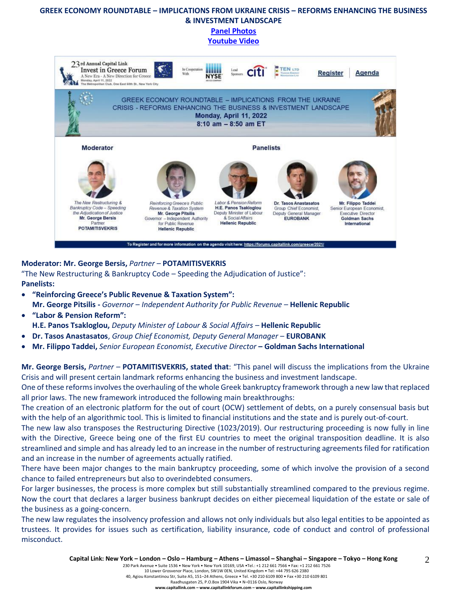#### **GREEK ECONOMY ROUNDTABLE – IMPLICATIONS FROM UKRAINE CRISIS – REFORMS ENHANCING THE BUSINESS & INVESTMENT LANDSCAPE**

**[Panel Photos](https://forums.capitallink.com/greece/2021/images/zip/GREEK-ECONOMY-ROUNDTABLE.zip)**

#### **[Youtube](https://www.youtube.com/watch?v=Bs1qh8RgN8U) Video**



#### **Moderator: Mr. George Bersis,** *Partner –* **POTAMITISVEKRIS**

"The New Restructuring & Bankruptcy Code – Speeding the Adjudication of Justice": **Panelists:**

- **"Reinforcing Greece's Public Revenue & Taxation System": Mr. George Pitsilis -** *Governor* – *Independent Authority for Public Revenue –* **Hellenic Republic**
- **"Labor & Pension Reform": H.E. Panos Tsakloglou,** *Deputy Minister of Labour & Social Affairs –* **Hellenic Republic**
- **Dr. Tasos Anastasatos**, *Group Chief Economist, Deputy General Manager* **EUROBANK**
- **Mr. Filippo Taddei,** *Senior European Economist, Executive Director* **– Goldman Sachs International**

**Mr. George Bersis,** *Partner –* **POTAMITISVEKRIS, stated that**: "This panel will discuss the implications from the Ukraine Crisis and will present certain landmark reforms enhancing the business and investment landscape.

One of these reforms involves the overhauling of the whole Greek bankruptcy framework through a new law that replaced all prior laws. The new framework introduced the following main breakthroughs:

The creation of an electronic platform for the out of court (OCW) settlement of debts, on a purely consensual basis but with the help of an algorithmic tool. This is limited to financial institutions and the state and is purely out-of-court.

The new law also transposes the Restructuring Directive (1023/2019). Our restructuring proceeding is now fully in line with the Directive, Greece being one of the first EU countries to meet the original transposition deadline. It is also streamlined and simple and has already led to an increase in the number of restructuring agreements filed for ratification and an increase in the number of agreements actually ratified.

There have been major changes to the main bankruptcy proceeding, some of which involve the provision of a second chance to failed entrepreneurs but also to overindebted consumers.

For larger businesses, the process is more complex but still substantially streamlined compared to the previous regime. Now the court that declares a larger business bankrupt decides on either piecemeal liquidation of the estate or sale of the business as a going-concern.

The new law regulates the insolvency profession and allows not only individuals but also legal entities to be appointed as trustees. It provides for issues such as certification, liability insurance, code of conduct and control of professional misconduct.

2

230 Park Avenue • Suite 1536 • New York • New York 10169, USA •Tel.: +1 212 661 7566 • Fax: +1 212 661 7526 10 Lower Grosvenor Place, London, SW1W 0EN, United Kingdom • Tel: +44 795 626 2380

40, Agiou Konstantinou Str, Suite A5, 151–24 Athens, Greece • Tel. +30 210 6109 800 • Fax +30 210 6109 801

Raadhusgaten 25, P.O.Box 1904 Vika • N–0116 Oslo, Norway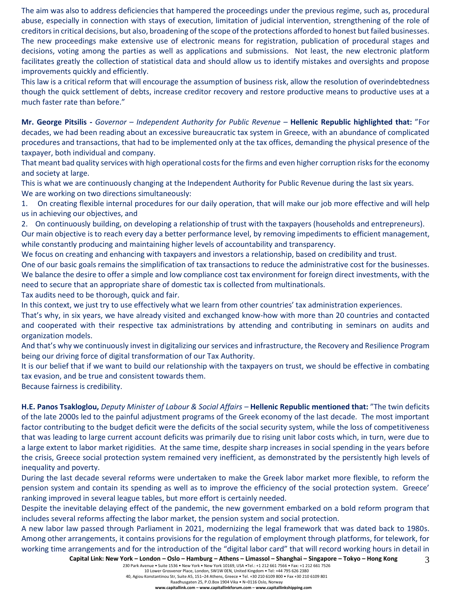The aim was also to address deficiencies that hampered the proceedings under the previous regime, such as, procedural abuse, especially in connection with stays of execution, limitation of judicial intervention, strengthening of the role of creditors in critical decisions, but also, broadening of the scope of the protections afforded to honest but failed businesses. The new proceedings make extensive use of electronic means for registration, publication of procedural stages and decisions, voting among the parties as well as applications and submissions. Not least, the new electronic platform facilitates greatly the collection of statistical data and should allow us to identify mistakes and oversights and propose improvements quickly and efficiently.

This law is a critical reform that will encourage the assumption of business risk, allow the resolution of overindebtedness though the quick settlement of debts, increase creditor recovery and restore productive means to productive uses at a much faster rate than before."

**Mr. George Pitsilis -** *Governor* – *Independent Authority for Public Revenue –* **Hellenic Republic highlighted that:** "For decades, we had been reading about an excessive bureaucratic tax system in Greece, with an abundance of complicated procedures and transactions, that had to be implemented only at the tax offices, demanding the physical presence of the taxpayer, both individual and company.

That meant bad quality services with high operational costs for the firms and even higher corruption risks for the economy and society at large.

This is what we are continuously changing at the Independent Authority for Public Revenue during the last six years. We are working on two directions simultaneously:

1. On creating flexible internal procedures for our daily operation, that will make our job more effective and will help us in achieving our objectives, and

2. On continuously building, on developing a relationship of trust with the taxpayers (households and entrepreneurs). Our main objective is to reach every day a better performance level, by removing impediments to efficient management,

while constantly producing and maintaining higher levels of accountability and transparency. We focus on creating and enhancing with taxpayers and investors a relationship, based on credibility and trust.

One of our basic goals remains the simplification of tax transactions to reduce the administrative cost for the businesses. We balance the desire to offer a simple and low compliance cost tax environment for foreign direct investments, with the need to secure that an appropriate share of domestic tax is collected from multinationals.

Tax audits need to be thorough, quick and fair.

In this context, we just try to use effectively what we learn from other countries' tax administration experiences.

That's why, in six years, we have already visited and exchanged know-how with more than 20 countries and contacted and cooperated with their respective tax administrations by attending and contributing in seminars on audits and organization models.

And that's why we continuously invest in digitalizing our services and infrastructure, the Recovery and Resilience Program being our driving force of digital transformation of our Tax Authority.

It is our belief that if we want to build our relationship with the taxpayers on trust, we should be effective in combating tax evasion, and be true and consistent towards them.

Because fairness is credibility.

**H.E. Panos Tsakloglou,** *Deputy Minister of Labour & Social Affairs –* **Hellenic Republic mentioned that:** "The twin deficits of the late 2000s led to the painful adjustment programs of the Greek economy of the last decade. The most important factor contributing to the budget deficit were the deficits of the social security system, while the loss of competitiveness that was leading to large current account deficits was primarily due to rising unit labor costs which, in turn, were due to a large extent to labor market rigidities. At the same time, despite sharp increases in social spending in the years before the crisis, Greece social protection system remained very inefficient, as demonstrated by the persistently high levels of inequality and poverty.

During the last decade several reforms were undertaken to make the Greek labor market more flexible, to reform the pension system and contain its spending as well as to improve the efficiency of the social protection system. Greece' ranking improved in several league tables, but more effort is certainly needed.

Despite the inevitable delaying effect of the pandemic, the new government embarked on a bold reform program that includes several reforms affecting the labor market, the pension system and social protection.

3 A new labor law passed through Parliament in 2021, modernizing the legal framework that was dated back to 1980s. Among other arrangements, it contains provisions for the regulation of employment through platforms, for telework, for working time arrangements and for the introduction of the "digital labor card" that will record working hours in detail in

Raadhusgaten 25, P.O.Box 1904 Vika • N–0116 Oslo, Norway **www.capitallink.com – www.capitallinkforum.com – www.capitallinkshipping.com**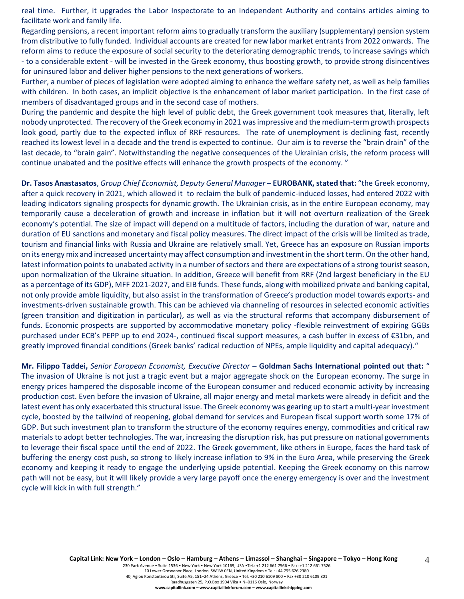real time. Further, it upgrades the Labor Inspectorate to an Independent Authority and contains articles aiming to facilitate work and family life.

Regarding pensions, a recent important reform aims to gradually transform the auxiliary (supplementary) pension system from distributive to fully funded. Individual accounts are created for new labor market entrants from 2022 onwards. The reform aims to reduce the exposure of social security to the deteriorating demographic trends, to increase savings which - to a considerable extent - will be invested in the Greek economy, thus boosting growth, to provide strong disincentives for uninsured labor and deliver higher pensions to the next generations of workers.

Further, a number of pieces of legislation were adopted aiming to enhance the welfare safety net, as well as help families with children. In both cases, an implicit objective is the enhancement of labor market participation. In the first case of members of disadvantaged groups and in the second case of mothers.

During the pandemic and despite the high level of public debt, the Greek government took measures that, literally, left nobody unprotected. The recovery of the Greek economy in 2021 was impressive and the medium-term growth prospects look good, partly due to the expected influx of RRF resources. The rate of unemployment is declining fast, recently reached its lowest level in a decade and the trend is expected to continue. Our aim is to reverse the "brain drain" of the last decade, to "brain gain". Notwithstanding the negative consequences of the Ukrainian crisis, the reform process will continue unabated and the positive effects will enhance the growth prospects of the economy. "

**Dr. Tasos Anastasatos**, *Group Chief Economist, Deputy General Manager* – **EUROBANK, stated that:** "the Greek economy, after a quick recovery in 2021, which allowed it to reclaim the bulk of pandemic-induced losses, had entered 2022 with leading indicators signaling prospects for dynamic growth. The Ukrainian crisis, as in the entire European economy, may temporarily cause a deceleration of growth and increase in inflation but it will not overturn realization of the Greek economy's potential. The size of impact will depend on a multitude of factors, including the duration of war, nature and duration of EU sanctions and monetary and fiscal policy measures. The direct impact of the crisis will be limited as trade, tourism and financial links with Russia and Ukraine are relatively small. Yet, Greece has an exposure on Russian imports on its energy mix and increased uncertainty may affect consumption and investment in the short term. On the other hand, latest information points to unabated activity in a number of sectors and there are expectations of a strong tourist season, upon normalization of the Ukraine situation. In addition, Greece will benefit from RRF (2nd largest beneficiary in the EU as a percentage of its GDP), MFF 2021-2027, and EIB funds. These funds, along with mobilized private and banking capital, not only provide amble liquidity, but also assist in the transformation of Greece's production model towards exports- and investments-driven sustainable growth. This can be achieved via channeling of resources in selected economic activities (green transition and digitization in particular), as well as via the structural reforms that accompany disbursement of funds. Economic prospects are supported by accommodative monetary policy -flexible reinvestment of expiring GGBs purchased under ECB's PEPP up to end 2024-, continued fiscal support measures, a cash buffer in excess of €31bn, and greatly improved financial conditions (Greek banks' radical reduction of NPEs, ample liquidity and capital adequacy)."

**Mr. Filippo Taddei,** *Senior European Economist, Executive Director* **– Goldman Sachs International pointed out that:** " The invasion of Ukraine is not just a tragic event but a major aggregate shock on the European economy. The surge in energy prices hampered the disposable income of the European consumer and reduced economic activity by increasing production cost. Even before the invasion of Ukraine, all major energy and metal markets were already in deficit and the latest event has only exacerbated this structural issue. The Greek economy was gearing up to start a multi-year investment cycle, boosted by the tailwind of reopening, global demand for services and European fiscal support worth some 17% of GDP. But such investment plan to transform the structure of the economy requires energy, commodities and critical raw materials to adopt better technologies. The war, increasing the disruption risk, has put pressure on national governments to leverage their fiscal space until the end of 2022. The Greek government, like others in Europe, faces the hard task of buffering the energy cost push, so strong to likely increase inflation to 9% in the Euro Area, while preserving the Greek economy and keeping it ready to engage the underlying upside potential. Keeping the Greek economy on this narrow path will not be easy, but it will likely provide a very large payoff once the energy emergency is over and the investment cycle will kick in with full strength."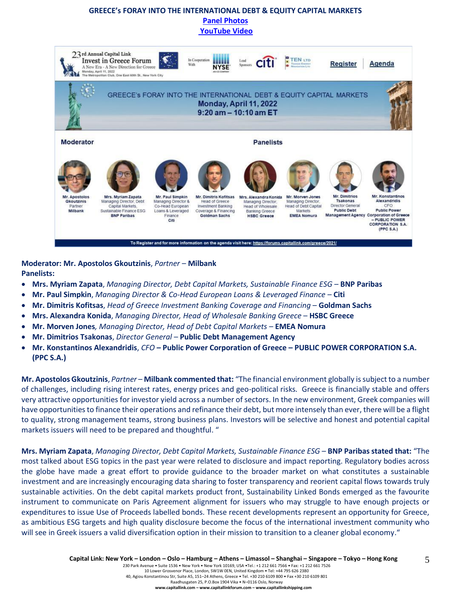#### **GREECE's FORAY INTO THE INTERNATIONAL DEBT & EQUITY CAPITAL MARKETS [Panel Photos](https://forums.capitallink.com/greece/2021/images/zip/GREECES-FORAY.zip) [YouTube Video](https://www.youtube.com/watch?v=D-1E68xME-Q)**

|                                                          | 23rd Annual Capital Link<br><b>Invest in Greece Forum</b><br>A New Era - A New Direction for Greece<br>Monday, April 11, 2022<br>The Metropolitan Club, One East 60th St., New York City | With                                                                                                | In Cooperation                                                                                                       | Lead<br>Sponsors                                                                                                           | TEN LTD                                                                                                       | Register                                                                                        | Agenda                                                                                                                                                    |
|----------------------------------------------------------|------------------------------------------------------------------------------------------------------------------------------------------------------------------------------------------|-----------------------------------------------------------------------------------------------------|----------------------------------------------------------------------------------------------------------------------|----------------------------------------------------------------------------------------------------------------------------|---------------------------------------------------------------------------------------------------------------|-------------------------------------------------------------------------------------------------|-----------------------------------------------------------------------------------------------------------------------------------------------------------|
|                                                          |                                                                                                                                                                                          |                                                                                                     |                                                                                                                      | GREECE's FORAY INTO THE INTERNATIONAL DEBT & EQUITY CAPITAL MARKETS<br>Monday, April 11, 2022<br>$9:20$ am $- 10:10$ am ET |                                                                                                               |                                                                                                 |                                                                                                                                                           |
| <b>Moderator</b>                                         | <b>Panelists</b>                                                                                                                                                                         |                                                                                                     |                                                                                                                      |                                                                                                                            |                                                                                                               |                                                                                                 |                                                                                                                                                           |
|                                                          |                                                                                                                                                                                          |                                                                                                     |                                                                                                                      |                                                                                                                            |                                                                                                               |                                                                                                 |                                                                                                                                                           |
| Mr. Apostolos<br><b>Gkoutzinis</b><br>Partner<br>Milbank | Mrs. Myriam Zapata<br>Managing Director, Debt<br>Capital Markets.<br>Sustainable Finance ESG<br><b>BNP Paribas</b>                                                                       | Mr. Paul Simpkin<br>Managing Director &<br>Co-Head European<br>Loans & Leveraged<br>Finance<br>Citi | Mr. Dimitris Kofitsas<br><b>Head of Greece</b><br><b>Investment Banking</b><br>Coverage & Financing<br>Goldman Sachs | Mrs. Alexandra Konida<br>Managing Director.<br>Head of Wholesale<br><b>Banking Greece</b><br><b>HSBC Greece</b>            | Mr. Morven Jones<br>Managing Director.<br><b>Head of Debt Capital</b><br><b>Markets</b><br><b>EMEA Nomura</b> | Mr. Dimitrios<br>Tsakonas<br>Director General<br><b>Public Debt</b><br><b>Management Agency</b> | Mr. Konstantinos<br>Alexandridis<br>CFO<br><b>Public Power</b><br><b>Corporation of Greece</b><br>- PUBLIC POWER<br><b>CORPORATION S.A.</b><br>(PPC S.A.) |

**Moderator: Mr. Apostolos Gkoutzinis**, *Partner* – **Milbank Panelists:**

- **Mrs. Myriam Zapata**, *Managing Director, Debt Capital Markets, Sustainable Finance ESG* **BNP Paribas**
- **Mr. Paul Simpkin**, *Managing Director & Co-Head European Loans & Leveraged Finance –* **Citi**
- **Mr. Dimitris Kofitsas**, *Head of Greece Investment Banking Coverage and Financing* **Goldman Sachs**
- **Mrs. Alexandra Konida**, *Managing Director, Head of Wholesale Banking Greece* **HSBC Greece**
- **Mr. Morven Jones***, Managing Director, Head of Debt Capital Markets –* **EMEA Nomura**
- **Mr. Dimitrios Tsakonas**, *Director General* **Public Debt Management Agency**
- **Mr. Konstantinos Alexandridis**, *CFO –* **Public Power Corporation of Greece – PUBLIC POWER CORPORATION S.A. (PPC S.A.)**

**Mr. Apostolos Gkoutzinis**, *Partner* – **Milbank commented that:** "The financial environment globally is subject to a number of challenges, including rising interest rates, energy prices and geo-political risks. Greece is financially stable and offers very attractive opportunities for investor yield across a number of sectors. In the new environment, Greek companies will have opportunities to finance their operations and refinance their debt, but more intensely than ever, there will be a flight to quality, strong management teams, strong business plans. Investors will be selective and honest and potential capital markets issuers will need to be prepared and thoughtful. "

**Mrs. Myriam Zapata**, *Managing Director, Debt Capital Markets, Sustainable Finance ESG* – **BNP Paribas stated that:** "The most talked about ESG topics in the past year were related to disclosure and impact reporting. Regulatory bodies across the globe have made a great effort to provide guidance to the broader market on what constitutes a sustainable investment and are increasingly encouraging data sharing to foster transparency and reorient capital flows towards truly sustainable activities. On the debt capital markets product front, Sustainability Linked Bonds emerged as the favourite instrument to communicate on Paris Agreement alignment for issuers who may struggle to have enough projects or expenditures to issue Use of Proceeds labelled bonds. These recent developments represent an opportunity for Greece, as ambitious ESG targets and high quality disclosure become the focus of the international investment community who will see in Greek issuers a valid diversification option in their mission to transition to a cleaner global economy."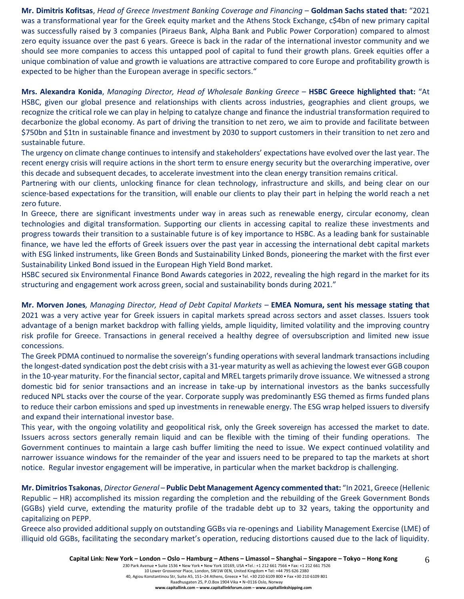**Mr. Dimitris Kofitsas**, *Head of Greece Investment Banking Coverage and Financing* – **Goldman Sachs stated that:** "2021 was a transformational year for the Greek equity market and the Athens Stock Exchange, c\$4bn of new primary capital was successfully raised by 3 companies (Piraeus Bank, Alpha Bank and Public Power Corporation) compared to almost zero equity issuance over the past 6 years. Greece is back in the radar of the international investor community and we should see more companies to access this untapped pool of capital to fund their growth plans. Greek equities offer a unique combination of value and growth ie valuations are attractive compared to core Europe and profitability growth is expected to be higher than the European average in specific sectors."

**Mrs. Alexandra Konida**, *Managing Director, Head of Wholesale Banking Greece* – **HSBC Greece highlighted that:** "At HSBC, given our global presence and relationships with clients across industries, geographies and client groups, we recognize the critical role we can play in helping to catalyze change and finance the industrial transformation required to decarbonize the global economy. As part of driving the transition to net zero, we aim to provide and facilitate between \$750bn and \$1tn in sustainable finance and investment by 2030 to support customers in their transition to net zero and sustainable future.

The urgency on climate change continues to intensify and stakeholders' expectations have evolved over the last year. The recent energy crisis will require actions in the short term to ensure energy security but the overarching imperative, over this decade and subsequent decades, to accelerate investment into the clean energy transition remains critical.

Partnering with our clients, unlocking finance for clean technology, infrastructure and skills, and being clear on our science-based expectations for the transition, will enable our clients to play their part in helping the world reach a net zero future.

In Greece, there are significant investments under way in areas such as renewable energy, circular economy, clean technologies and digital transformation. Supporting our clients in accessing capital to realize these investments and progress towards their transition to a sustainable future is of key importance to HSBC. As a leading bank for sustainable finance, we have led the efforts of Greek issuers over the past year in accessing the international debt capital markets with ESG linked instruments, like Green Bonds and Sustainability Linked Bonds, pioneering the market with the first ever Sustainability Linked Bond issued in the European High Yield Bond market.

HSBC secured six Environmental Finance Bond Awards categories in 2022, revealing the high regard in the market for its structuring and engagement work across green, social and sustainability bonds during 2021."

**Mr. Morven Jones***, Managing Director, Head of Debt Capital Markets –* **EMEA Nomura, sent his message stating that**  2021 was a very active year for Greek issuers in capital markets spread across sectors and asset classes. Issuers took advantage of a benign market backdrop with falling yields, ample liquidity, limited volatility and the improving country risk profile for Greece. Transactions in general received a healthy degree of oversubscription and limited new issue concessions.

The Greek PDMA continued to normalise the sovereign's funding operations with several landmark transactions including the longest-dated syndication post the debt crisis with a 31-year maturity as well as achieving the lowest ever GGB coupon in the 10-year maturity. For the financial sector, capital and MREL targets primarily drove issuance. We witnessed a strong domestic bid for senior transactions and an increase in take-up by international investors as the banks successfully reduced NPL stacks over the course of the year. Corporate supply was predominantly ESG themed as firms funded plans to reduce their carbon emissions and sped up investments in renewable energy. The ESG wrap helped issuers to diversify and expand their international investor base.

This year, with the ongoing volatility and geopolitical risk, only the Greek sovereign has accessed the market to date. Issuers across sectors generally remain liquid and can be flexible with the timing of their funding operations. The Government continues to maintain a large cash buffer limiting the need to issue. We expect continued volatility and narrower issuance windows for the remainder of the year and issuers need to be prepared to tap the markets at short notice. Regular investor engagement will be imperative, in particular when the market backdrop is challenging.

**Mr. Dimitrios Tsakonas**, *Director General* – **Public Debt Management Agency commented that:** "In 2021, Greece (Hellenic Republic – HR) accomplished its mission regarding the completion and the rebuilding of the Greek Government Bonds (GGBs) yield curve, extending the maturity profile of the tradable debt up to 32 years, taking the opportunity and capitalizing on PEPP.

Greece also provided additional supply on outstanding GGBs via re-openings and Liability Management Exercise (LME) of illiquid old GGBs, facilitating the secondary market's operation, reducing distortions caused due to the lack of liquidity.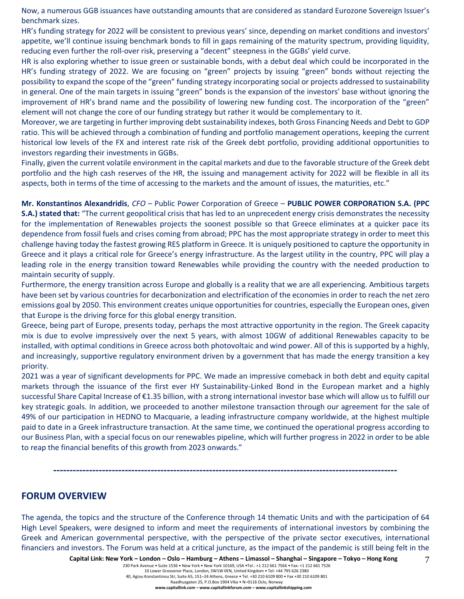Now, a numerous GGB issuances have outstanding amounts that are considered as standard Eurozone Sovereign Issuer's benchmark sizes.

HR's funding strategy for 2022 will be consistent to previous years' since, depending on market conditions and investors' appetite, we'll continue issuing benchmark bonds to fill in gaps remaining of the maturity spectrum, providing liquidity, reducing even further the roll-over risk, preserving a "decent" steepness in the GGBs' yield curve.

HR is also exploring whether to issue green or sustainable bonds, with a debut deal which could be incorporated in the HR's funding strategy of 2022. We are focusing on "green" projects by issuing "green" bonds without rejecting the possibility to expand the scope of the "green" funding strategy incorporating social or projects addressed to sustainability in general. One of the main targets in issuing "green" bonds is the expansion of the investors' base without ignoring the improvement of HR's brand name and the possibility of lowering new funding cost. The incorporation of the "green" element will not change the core of our funding strategy but rather it would be complementary to it.

Moreover, we are targeting in further improving debt sustainability indexes, both Gross Financing Needs and Debt to GDP ratio. This will be achieved through a combination of funding and portfolio management operations, keeping the current historical low levels of the FX and interest rate risk of the Greek debt portfolio, providing additional opportunities to investors regarding their investments in GGBs.

Finally, given the current volatile environment in the capital markets and due to the favorable structure of the Greek debt portfolio and the high cash reserves of the HR, the issuing and management activity for 2022 will be flexible in all its aspects, both in terms of the time of accessing to the markets and the amount of issues, the maturities, etc."

**Mr. Konstantinos Alexandridis**, *CFO –* Public Power Corporation of Greece – **PUBLIC POWER CORPORATION S.A. (PPC S.A.) stated that:** "The current geopolitical crisis that has led to an unprecedent energy crisis demonstrates the necessity for the implementation of Renewables projects the soonest possible so that Greece eliminates at a quicker pace its dependence from fossil fuels and crises coming from abroad; PPC has the most appropriate strategy in order to meet this challenge having today the fastest growing RES platform in Greece. It is uniquely positioned to capture the opportunity in Greece and it plays a critical role for Greece's energy infrastructure. As the largest utility in the country, PPC will play a leading role in the energy transition toward Renewables while providing the country with the needed production to maintain security of supply.

Furthermore, the energy transition across Europe and globally is a reality that we are all experiencing. Ambitious targets have been set by various countries for decarbonization and electrification of the economies in order to reach the net zero emissions goal by 2050. This environment creates unique opportunities for countries, especially the European ones, given that Europe is the driving force for this global energy transition.

Greece, being part of Europe, presents today, perhaps the most attractive opportunity in the region. The Greek capacity mix is due to evolve impressively over the next 5 years, with almost 10GW of additional Renewables capacity to be installed, with optimal conditions in Greece across both photovoltaic and wind power. All of this is supported by a highly, and increasingly, supportive regulatory environment driven by a government that has made the energy transition a key priority.

2021 was a year of significant developments for PPC. We made an impressive comeback in both debt and equity capital markets through the issuance of the first ever HY Sustainability-Linked Bond in the European market and a highly successful Share Capital Increase of €1.35 billion, with a strong international investor base which will allow us to fulfill our key strategic goals. In addition, we proceeded to another milestone transaction through our agreement for the sale of 49% of our participation in HEDNO to Macquarie, a leading infrastructure company worldwide, at the highest multiple paid to date in a Greek infrastructure transaction. At the same time, we continued the operational progress according to our Business Plan, with a special focus on our renewables pipeline, which will further progress in 2022 in order to be able to reap the financial benefits of this growth from 2023 onwards."

**----------------------------------------------------------------------------------------------------------**

# **FORUM OVERVIEW**

The agenda, the topics and the structure of the Conference through 14 thematic Units and with the participation of 64 High Level Speakers, were designed to inform and meet the requirements of international investors by combining the Greek and American governmental perspective, with the perspective of the private sector executives, international financiers and investors. The Forum was held at a critical juncture, as the impact of the pandemic is still being felt in the

7

**www.capitallink.com – www.capitallinkforum.com – www.capitallinkshipping.com**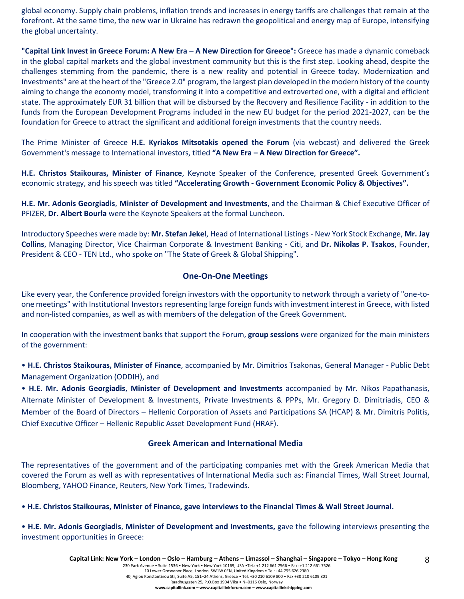global economy. Supply chain problems, inflation trends and increases in energy tariffs are challenges that remain at the forefront. At the same time, the new war in Ukraine has redrawn the geopolitical and energy map of Europe, intensifying the global uncertainty.

**"Capital Link Invest in Greece Forum: A New Era – A New Direction for Greece":** Greece has made a dynamic comeback in the global capital markets and the global investment community but this is the first step. Looking ahead, despite the challenges stemming from the pandemic, there is a new reality and potential in Greece today. Modernization and Investments" are at the heart of the "Greece 2.0" program, the largest plan developed in the modern history of the county aiming to change the economy model, transforming it into a competitive and extroverted one, with a digital and efficient state. The approximately EUR 31 billion that will be disbursed by the Recovery and Resilience Facility - in addition to the funds from the European Development Programs included in the new EU budget for the period 2021-2027, can be the foundation for Greece to attract the significant and additional foreign investments that the country needs.

The Prime Minister of Greece **H.E. Kyriakos Mitsotakis opened the Forum** (via webcast) and delivered the Greek Government's message to International investors, titled **"A New Era – A New Direction for Greece".**

**H.E. Christos Staikouras, Minister of Finance**, Keynote Speaker of the Conference, presented Greek Government's economic strategy, and his speech was titled **"Accelerating Growth - Government Economic Policy & Objectives".**

**H.E. Mr. Adonis Georgiadis**, **Minister of Development and Investments**, and the Chairman & Chief Executive Officer of PFIZER, **Dr. Albert Bourla** were the Keynote Speakers at the formal Luncheon.

Introductory Speeches were made by: **Mr. Stefan Jekel**, Head of International Listings - New York Stock Exchange, **Mr. Jay Collins**, Managing Director, Vice Chairman Corporate & Investment Banking - Citi, and **Dr. Nikolas P. Tsakos**, Founder, President & CEO - TEN Ltd., who spoke on "The State of Greek & Global Shipping".

#### **One-On-One Meetings**

Like every year, the Conference provided foreign investors with the opportunity to network through a variety of "one-toone meetings" with Institutional Investors representing large foreign funds with investment interest in Greece, with listed and non-listed companies, as well as with members of the delegation of the Greek Government.

In cooperation with the investment banks that support the Forum, **group sessions** were organized for the main ministers of the government:

• **H.E. Christos Staikouras, Minister of Finance**, accompanied by Mr. Dimitrios Tsakonas, General Manager - Public Debt Management Organization (ODDIH), and

• **H.E. Mr. Adonis Georgiadis**, **Minister of Development and Investments** accompanied by Mr. Nikos Papathanasis, Alternate Minister of Development & Investments, Private Investments & PPPs, Mr. Gregory D. Dimitriadis, CEO & Member of the Board of Directors – Hellenic Corporation of Assets and Participations SA (HCAP) & Mr. Dimitris Politis, Chief Executive Officer – Hellenic Republic Asset Development Fund (HRAF).

#### **Greek American and International Media**

The representatives of the government and of the participating companies met with the Greek American Media that covered the Forum as well as with representatives of International Media such as: Financial Times, Wall Street Journal, Bloomberg, YAHOO Finance, Reuters, New York Times, Tradewinds.

• **H.E. Christos Staikouras, Minister of Finance, gave interviews to the Financial Times & Wall Street Journal.**

• **H.E. Mr. Adonis Georgiadis**, **Minister of Development and Investments,** gave the following interviews presenting the investment opportunities in Greece:

8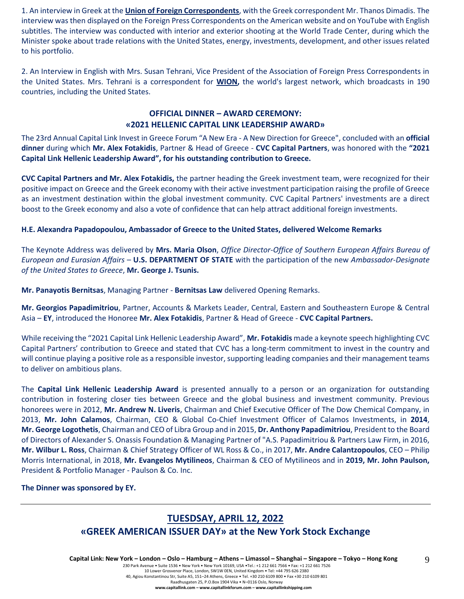1. An interview in Greek at the **Union of Foreign Correspondents**, with the Greek correspondent Mr. Thanos Dimadis. The interview was then displayed on the Foreign Press Correspondents on the American website and on YouTube with English subtitles. The interview was conducted with interior and exterior shooting at the World Trade Center, during which the Minister spoke about trade relations with the United States, energy, investments, development, and other issues related to his portfolio.

2. An Interview in English with Mrs. Susan Tehrani, Vice President of the Association of Foreign Press Correspondents in the United States. Mrs. Tehrani is a correspondent for **WION,** the world's largest network, which broadcasts in 190 countries, including the United States.

#### **OFFICIAL DINNER – AWARD CEREMONY: «2021 HELLENIC CAPITAL LINK LEADERSHIP AWARD»**

The 23rd Annual Capital Link Invest in Greece Forum "A New Era - A New Direction for Greece", concluded with an **official dinner** during which **Mr. Alex Fotakidis**, Partner & Head of Greece - **CVC Capital Partners**, was honored with the **"2021 Capital Link Hellenic Leadership Award", for his outstanding contribution to Greece.**

**CVC Capital Partners and Mr. Alex Fotakidis,** the partner heading the Greek investment team, were recognized for their positive impact on Greece and the Greek economy with their active investment participation raising the profile of Greece as an investment destination within the global investment community. CVC Capital Partners' investments are a direct boost to the Greek economy and also a vote of confidence that can help attract additional foreign investments.

#### **H.E. Alexandra Papadopoulou, Ambassador of Greece to the United States, delivered Welcome Remarks**

The Keynote Address was delivered by **Mrs. Maria Olson**, *Office Director-Office of Southern European Affairs Bureau of European and Eurasian Affairs* – **U.S. DEPARTMENT OF STATE** with the participation of the new *Ambassador-Designate of the United States to Greece*, **Mr. George J. Tsunis.**

**Mr. Panayotis Bernitsas**, Managing Partner - **Bernitsas Law** delivered Opening Remarks.

**Mr. Georgios Papadimitriou**, Partner, Accounts & Markets Leader, Central, Eastern and Southeastern Europe & Central Asia – **EY**, introduced the Honoree **Mr. Alex Fotakidis**, Partner & Head of Greece - **CVC Capital Partners.** 

While receiving the "2021 Capital Link Hellenic Leadership Award", **Mr. Fotakidis** made a keynote speech highlighting CVC Capital Partners' contribution to Greece and stated that CVC has a long-term commitment to invest in the country and will continue playing a positive role as a responsible investor, supporting leading companies and their management teams to deliver on ambitious plans.

The **Capital Link Hellenic Leadership Award** is presented annually to a person or an organization for outstanding contribution in fostering closer ties between Greece and the global business and investment community. Previous honorees were in 2012, **Mr. Andrew N. Liveris**, Chairman and Chief Executive Officer of The Dow Chemical Company, in 2013, **Mr. John Calamos**, Chairman, CEO & Global Co-Chief Investment Officer of Calamos Investments, in **2014**, **Mr. George Logothetis**, Chairman and CEO of Libra Group and in 2015, **Dr. Anthony Papadimitriou**, President to the Board of Directors of Alexander S. Onassis Foundation & Managing Partner of "A.S. Papadimitriou & Partners Law Firm, in 2016, **Mr. Wilbur L. Ross**, Chairman & Chief Strategy Officer of WL Ross & Co., in 2017, **Mr. Andre Calantzopoulos**, CEO – Philip Morris International, in 2018, **Mr. Evangelos Mytilineos**, Chairman & CEO of Mytilineos and in **2019, Mr. John Paulson,** President & Portfolio Manager - Paulson & Co. Inc.

**The Dinner was sponsored by ΕΥ.**

# **TUESDSAY, APRIL 12, 2022**

# **«GREEK AMERICAN ISSUER DAY» at the New York Stock Exchange**

Capital Link: New York - London - Oslo - Hamburg - Athens - Limassol - Shanghai - Singapore - Tokyo - Hong Kong

230 Park Avenue • Suite 1536 • New York • New York 10169, USA •Tel.: +1 212 661 7566 • Fax: +1 212 661 7526 10 Lower Grosvenor Place, London, SW1W 0EN, United Kingdom • Tel: +44 795 626 2380

40, Agiou Konstantinou Str, Suite A5, 151–24 Athens, Greece • Tel. +30 210 6109 800 • Fax +30 210 6109 801

Raadhusgaten 25, P.O.Box 1904 Vika • N–0116 Oslo, Norway

9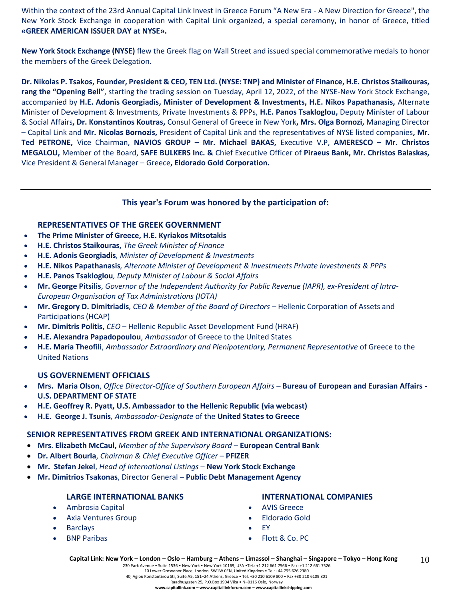Within the context of the 23rd Annual Capital Link Invest in Greece Forum "A New Era - A New Direction for Greece", the New York Stock Exchange in cooperation with Capital Link organized, a special ceremony, in honor of Greece, titled **«GREEK AMERICAN ISSUER DAY at NYSE».**

**New York Stock Exchange (NYSE)** flew the Greek flag on Wall Street and issued special commemorative medals to honor the members of the Greek Delegation.

**Dr. Nikolas P. Tsakos, Founder, President & CEO, TEN Ltd. (NYSE: TNP) and Minister of Finance, H.E. Christos Staikouras, rang the "Opening Bell"**, starting the trading session on Tuesday, April 12, 2022, of the NYSE-New York Stock Exchange, accompanied by **H.E. Adonis Georgiadis, Minister of Development & Investments, H.E. Nikos Papathanasis,** Alternate Minister of Development & Investments, Private Investments & PPPs, **H.E. Panos Tsakloglou,** Deputy Minister of Labour & Social Affairs**, Dr. Konstantinos Koutras,** Consul General of Greece in New York**, Mrs. Olga Bornozi,** Managing Director – Capital Link and **Mr. Nicolas Bornozis,** President of Capital Link and the representatives of NYSE listed companies**, Mr. Τed PETRONE,** Vice Chairman, **NAVIOS GROUP – Mr. Michael BAKAS,** Executive V.P, **AMERESCO – Mr. Christos MEGALOU,** Member of the Board, **SAFE BULKERS Inc. &** Chief Executive Officer of **Piraeus Bank, Mr. Christos Balaskas,**  Vice President & General Manager – Greece**, Eldorado Gold Corporation.**

#### **This year's Forum was honored by the participation of:**

#### **REPRESENTATIVES OF THE GREEK GOVERNMENT**

- **The Prime Minister of Greece, H.E. Kyriakos Mitsotakis**
- **H.E. Christos Staikouras,** *The Greek Minister of Finance*
- **H.E. Adonis Georgiadis***, Minister of Development & Investments*
- **Η.Ε. Nikos Papathanasis***, Alternate Minister of Development & Investments Private Investments & PPPs*
- **H.E. Panos Tsakloglou***, Deputy Minister of Labour & Social Affairs*
- **Mr. George Pitsilis**, *Governor of the Independent Authority for Public Revenue (IAPR), ex-President of Intra-European Organisation of Tax Administrations (IOTA)*
- **Mr. Gregory D. Dimitriadis***, CEO & Member of the Board of Directors –* Hellenic Corporation of Assets and Participations (HCAP)
- **Mr. Dimitris Politis**, *CEO* Hellenic Republic Asset Development Fund (HRAF)
- **H.E. Alexandra Papadopoulou**, *Ambassador* of Greece to the United States
- **H.E. Maria Theofili**, *Ambassador Extraordinary and Plenipotentiary, Permanent Representative* of Greece to the United Nations

#### **US GOVERNEMENT OFFICIALS**

- **Mrs. Maria Olson**, *Office Director-Office of Southern European Affairs –* **Bureau of European and Eurasian Affairs - U.S. DEPARTMENT OF STATE**
- **H.E. Geoffrey R. Pyatt, U.S. Ambassador to the Hellenic Republic (via webcast)**
- **H.E. George J. Tsunis***, Ambassador-Designate* of the **United States to Greece**

#### **SENIOR REPRESENTATIVES FROM GREEK AND INTERNATIONAL ORGANIZATIONS:**

- **Mrs**. **Elizabeth McCaul,** *Member of the Supervisory Board* **European Central Bank**
- **Dr. Albert Bourla**, *Chairman & Chief Executive Officer* **PFIZER**
- **Mr. Stefan Jekel**, *Head of International Listings* **New York Stock Exchange**
- **Mr. Dimitrios Tsakonas**, Director General **Public Debt Management Agency**

#### **LARGE INTERNATIONAL BANKS**

- Ambrosia Capital
- Axia Ventures Group
- **Barclays**
- BNP Paribas

#### **INTERNATIONAL COMPANIES**

- AVIS Greece
- Eldorado Gold
- EY
- Flott & Co. PC

230 Park Avenue • Suite 1536 • New York • New York 10169, USA •Tel.: +1 212 661 7566 • Fax: +1 212 661 7526 10 Lower Grosvenor Place, London, SW1W 0EN, United Kingdom • Tel: +44 795 626 2380 40, Agiou Konstantinou Str, Suite A5, 151–24 Athens, Greece • Tel. +30 210 6109 800 • Fax +30 210 6109 801

Raadhusgaten 25, P.O.Box 1904 Vika • N–0116 Oslo, Norway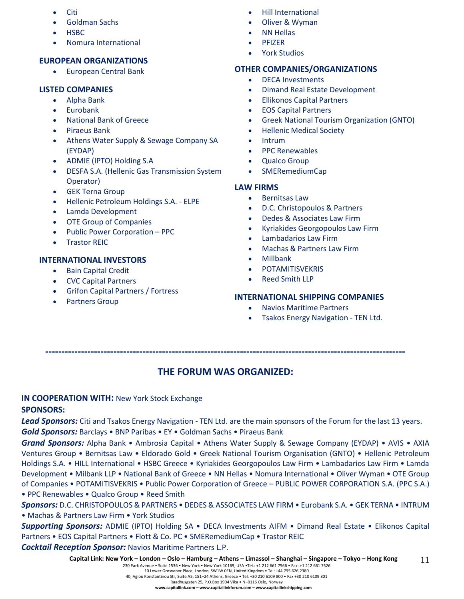- Citi
- Goldman Sachs
- HSBC
- Nomura International

# **EUROPEAN ORGANIZATIONS**

• European Central Bank

# **LISTED COMPANIES**

- Alpha Bank
- Eurobank
- National Bank of Greece
- Piraeus Bank
- Athens Water Supply & Sewage Company SA (EYDAP)
- ADMIE (IPTO) Holding S.A
- DESFA S.A. (Hellenic Gas Transmission System Operator)
- **GEK Terna Group**
- Hellenic Petroleum Holdings S.A. ELPE
- Lamda Development
- OTE Group of Companies
- Public Power Corporation PPC
- **Trastor REIC**

# **INTERNATIONAL INVESTORS**

- Bain Capital Credit
- CVC Capital Partners
- Grifon Capital Partners / Fortress
- Partners Group
- Hill International
- Oliver & Wyman
- NN Hellas
- PFIZER
- York Studios

# **OTHER COMPANIES/ORGANIZATIONS**

- DECA Investments
- Dimand Real Estate Development
- Ellikonos Capital Partners
- EOS Capital Partners
- Greek National Tourism Organization (GNTO)
- Hellenic Medical Society
- Intrum
- PPC Renewables
- Qualco Group
- SMERemediumCap

# **LAW FIRMS**

- Bernitsas Law
- D.C. Christopoulos & Partners
- Dedes & Associates Law Firm
- Kyriakides Georgopoulos Law Firm
- Lambadarios Law Firm
- Machas & Partners Law Firm
- Millbank
- **POTAMITISVEKRIS**
- Reed Smith LLP

# **INTERNATIONAL SHIPPING COMPANIES**

- Navios Maritime Partners
- Tsakos Energy Navigation TEN Ltd.

**---------------------------------------------------------------------------------------------------------------**

# **THE FORUM WAS ORGANIZED:**

# **IN COOPERATION WITH:** New York Stock Exchange

# **SPONSORS:**

*Lead Sponsors:* Citi and Tsakos Energy Navigation - TEN Ltd. are the main sponsors of the Forum for the last 13 years.

*Gold Sponsors:* Barclays • BNP Paribas • EY • Goldman Sachs • Piraeus Bank

*Grand Sponsors:* Alpha Bank • Ambrosia Capital • Athens Water Supply & Sewage Company (EYDAP) • AVIS • AXIA Ventures Group • Bernitsas Law • Eldorado Gold • Greek National Tourism Organisation (GNTO) • Hellenic Petroleum Holdings S.A. • HILL International • HSBC Greece • Kyriakides Georgopoulos Law Firm • Lambadarios Law Firm • Lamda Development • Milbank LLP • National Bank of Greece • NN Hellas • Nomura International • Oliver Wyman • OTE Group of Companies • POTAMITISVEKRIS • Public Power Corporation of Greece – PUBLIC POWER CORPORATION S.A. (PPC S.A.) • PPC Renewables • Qualco Group • Reed Smith

*Sponsors:* D.C. CHRISTOPOULOS & PARTNERS • DEDES & ASSOCIATES LAW FIRM • Eurobank S.A. • GEK TERNA • INTRUM • Machas & Partners Law Firm • York Studios

*Supporting Sponsors:* ADMIE (IPTO) Holding SA • DECA Investments AIFM • Dimand Real Estate • Elikonos Capital Partners • EOS Capital Partners • Flott & Co. PC • SMERemediumCap • Trastor REIC

*Cocktail Reception Sponsor:* Navios Maritime Partners L.P.

#### 230 Park Avenue • Suite 1536 • New York • New York 10169, USA •Tel.: +1 212 661 7566 • Fax: +1 212 661 7526 10 Lower Grosvenor Place, London, SW1W 0EN, United Kingdom • Tel: +44 795 626 2380

40, Agiou Konstantinou Str, Suite A5, 151–24 Athens, Greece • Tel. +30 210 6109 800 • Fax +30 210 6109 801

Raadhusgaten 25, P.O.Box 1904 Vika • N–0116 Oslo, Norway **www.capitallink.com – www.capitallinkforum.com – www.capitallinkshipping.com**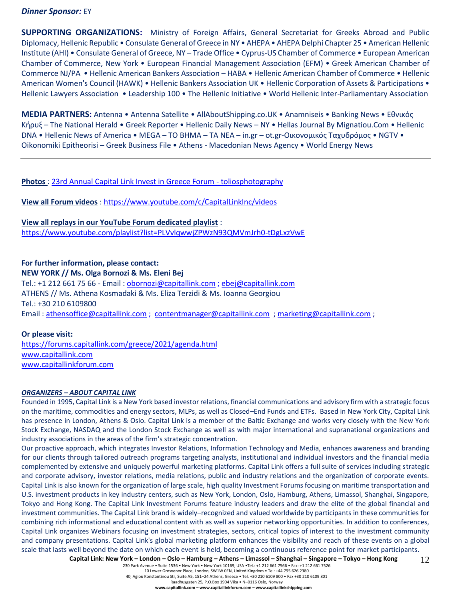#### *Dinner Sponsor:* EY

**SUPPORTING ORGANIZATIONS:** Ministry of Foreign Affairs, General Secretariat for Greeks Abroad and Public Diplomacy, Hellenic Republic • Consulate General of Greece in NY • AHEPA • AHEPA Delphi Chapter 25 • American Hellenic Institute (AHI) • Consulate General of Greece, NY – Trade Office • Cyprus-US Chamber of Commerce • European American Chamber of Commerce, New York • European Financial Management Association (EFM) • Greek American Chamber of Commerce NJ/PA • Hellenic American Bankers Association – HABA • Hellenic American Chamber of Commerce • Hellenic American Women's Council (HAWK) • Hellenic Bankers Association UK • Hellenic Corporation of Assets & Participations • Hellenic Lawyers Association • Leadership 100 • The Hellenic Initiative • World Hellenic Inter-Parliamentary Association

**MEDIA PARTNERS:** Antenna • Antenna Satellite • AllAboutShipping.co.UK • Anamniseis • Banking News • Εθνικός Κήρυξ – The National Herald • Greek Reporter • Hellenic Daily News – NY • Hellas Journal By Mignatiou.Com • Hellenic DNA • Hellenic News of America • MEGA – TO BHMA – TA NEA – in.gr – ot.gr-Οικονομικός Ταχυδρόμος • NGTV • Oikonomiki Epitheorisi – Greek Business File • Athens - Macedonian News Agency • World Energy News

#### **Photos** : [23rd Annual Capital Link Invest in Greece Forum -](https://www.toliosphotography.com/ToliosEvents/CAPITAL-LINK-/23rd-Annual-Capital-Link-New-York-City/n-RHX6QD/) toliosphotography

**View all Forum videos** :<https://www.youtube.com/c/CapitalLinkInc/videos>

**View all replays in our YouTube Forum dedicated playlist** : <https://www.youtube.com/playlist?list=PLVvlqwwjZPWzN93QMVmJrh0-tDgLxzVwE>

### **For further information, please contact: NEW YORK // Ms. Olga Bornozi & Ms. Eleni Bej**  Tel.: +1 212 661 75 66 - Email : [obornozi@capitallink.com](mailto:obornozi@capitallink.com) [; ebej@capitallink.com](mailto:ebej@capitallink.com) ATHENS // Ms. Athena Kosmadaki & Ms. Eliza Terzidi & Ms. Ioanna Georgiou Tel.: +30 210 6109800 Email: [athensoffice@capitallink.com](mailto:athensoffice@capitallink.com) ; [contentmanager@capitallink.com](mailto:contentmanager@capitallink.com) ; marketing@capitallink.com ;

#### **Or please visit:**

<https://forums.capitallink.com/greece/2021/agenda.html> [www.capitallink.com](http://www.capitallink.com/)  [www.capitallinkforum.com](http://www.capitallinkforum.com/)

#### *ORGANIZERS – ABOUT CAPITAL LINK*

Founded in 1995, Capital Link is a New York based investor relations, financial communications and advisory firm with a strategic focus on the maritime, commodities and energy sectors, MLPs, as well as Closed–End Funds and ETFs. Based in New York City, Capital Link has presence in London, Athens & Oslo. Capital Link is a member of the Baltic Exchange and works very closely with the New York Stock Exchange, NASDAQ and the London Stock Exchange as well as with major international and supranational organizations and industry associations in the areas of the firm's strategic concentration.

Our proactive approach, which integrates Investor Relations, Information Technology and Media, enhances awareness and branding for our clients through tailored outreach programs targeting analysts, institutional and individual investors and the financial media complemented by extensive and uniquely powerful marketing platforms. Capital Link offers a full suite of services including strategic and corporate advisory, investor relations, media relations, public and industry relations and the organization of corporate events. Capital Link is also known for the organization of large scale, high quality Investment Forums focusing on maritime transportation and U.S. investment products in key industry centers, such as New York, London, Oslo, Hamburg, Athens, Limassol, Shanghai, Singapore, Tokyo and Hong Kong. The Capital Link Investment Forums feature industry leaders and draw the elite of the global financial and investment communities. The Capital Link brand is widely–recognized and valued worldwide by participants in these communities for combining rich informational and educational content with as well as superior networking opportunities. In addition to conferences, Capital Link organizes Webinars focusing on investment strategies, sectors, critical topics of interest to the investment community and company presentations. Capital Link's global marketing platform enhances the visibility and reach of these events on a global scale that lasts well beyond the date on which each event is held, becoming a continuous reference point for market participants.

Capital Link: New York - London - Oslo - Hamburg - Athens - Limassol - Shanghai - Singapore - Tokyo - Hong Kong 12